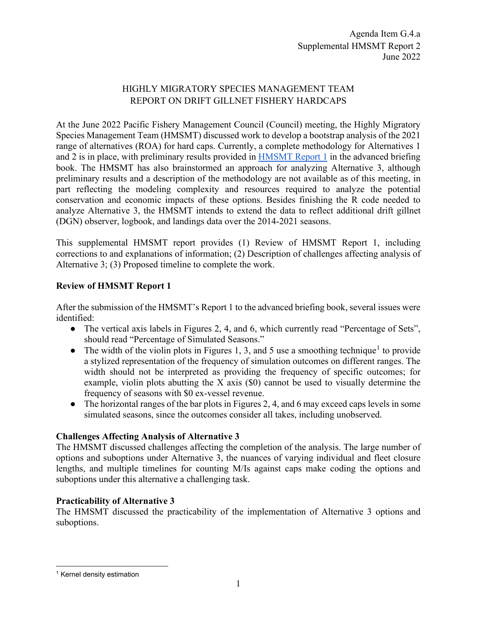## HIGHLY MIGRATORY SPECIES MANAGEMENT TEAM REPORT ON DRIFT GILLNET FISHERY HARDCAPS

At the June 2022 Pacific Fishery Management Council (Council) meeting, the Highly Migratory Species Management Team (HMSMT) discussed work to develop a bootstrap analysis of the 2021 range of alternatives (ROA) for hard caps. Currently, a complete methodology for Alternatives 1 and 2 is in place, with preliminary results provided in [HMSMT Report 1](https://www.pcouncil.org/documents/2022/05/g-4-a-hmsmt-report-1.pdf/) in the advanced briefing book. The HMSMT has also brainstormed an approach for analyzing Alternative 3, although preliminary results and a description of the methodology are not available as of this meeting, in part reflecting the modeling complexity and resources required to analyze the potential conservation and economic impacts of these options. Besides finishing the R code needed to analyze Alternative 3, the HMSMT intends to extend the data to reflect additional drift gillnet (DGN) observer, logbook, and landings data over the 2014-2021 seasons.

This supplemental HMSMT report provides (1) Review of HMSMT Report 1, including corrections to and explanations of information; (2) Description of challenges affecting analysis of Alternative 3; (3) Proposed timeline to complete the work.

# **Review of HMSMT Report 1**

After the submission of the HMSMT's Report 1 to the advanced briefing book, several issues were identified:

- The vertical axis labels in Figures 2, 4, and 6, which currently read "Percentage of Sets", should read "Percentage of Simulated Seasons."
- The width of the violin plots in Figures [1](#page-0-0), 3, and 5 use a smoothing technique<sup>1</sup> to provide a stylized representation of the frequency of simulation outcomes on different ranges. The width should not be interpreted as providing the frequency of specific outcomes; for example, violin plots abutting the X axis (\$0) cannot be used to visually determine the frequency of seasons with \$0 ex-vessel revenue.
- The horizontal ranges of the bar plots in Figures 2, 4, and 6 may exceed caps levels in some simulated seasons, since the outcomes consider all takes, including unobserved.

## **Challenges Affecting Analysis of Alternative 3**

The HMSMT discussed challenges affecting the completion of the analysis. The large number of options and suboptions under Alternative 3, the nuances of varying individual and fleet closure lengths, and multiple timelines for counting M/Is against caps make coding the options and suboptions under this alternative a challenging task.

## **Practicability of Alternative 3**

The HMSMT discussed the practicability of the implementation of Alternative 3 options and suboptions.

<span id="page-0-0"></span><sup>1</sup> Kernel density estimation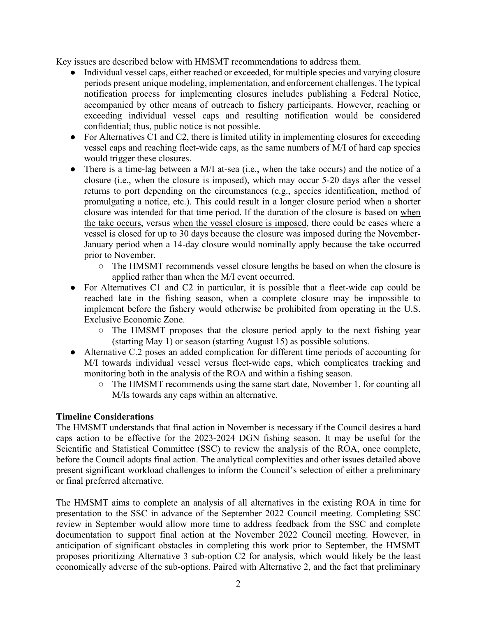Key issues are described below with HMSMT recommendations to address them.

- Individual vessel caps, either reached or exceeded, for multiple species and varying closure periods present unique modeling, implementation, and enforcement challenges. The typical notification process for implementing closures includes publishing a Federal Notice, accompanied by other means of outreach to fishery participants. However, reaching or exceeding individual vessel caps and resulting notification would be considered confidential; thus, public notice is not possible.
- For Alternatives C1 and C2, there is limited utility in implementing closures for exceeding vessel caps and reaching fleet-wide caps, as the same numbers of M/I of hard cap species would trigger these closures.
- There is a time-lag between a M/I at-sea (i.e., when the take occurs) and the notice of a closure (i.e., when the closure is imposed), which may occur 5-20 days after the vessel returns to port depending on the circumstances (e.g., species identification, method of promulgating a notice, etc.). This could result in a longer closure period when a shorter closure was intended for that time period. If the duration of the closure is based on when the take occurs, versus when the vessel closure is imposed, there could be cases where a vessel is closed for up to 30 days because the closure was imposed during the November-January period when a 14-day closure would nominally apply because the take occurred prior to November.
	- The HMSMT recommends vessel closure lengths be based on when the closure is applied rather than when the M/I event occurred.
- For Alternatives C1 and C2 in particular, it is possible that a fleet-wide cap could be reached late in the fishing season, when a complete closure may be impossible to implement before the fishery would otherwise be prohibited from operating in the U.S. Exclusive Economic Zone.
	- $\circ$  The HMSMT proposes that the closure period apply to the next fishing year (starting May 1) or season (starting August 15) as possible solutions.
- Alternative C.2 poses an added complication for different time periods of accounting for M/I towards individual vessel versus fleet-wide caps, which complicates tracking and monitoring both in the analysis of the ROA and within a fishing season.
	- The HMSMT recommends using the same start date, November 1, for counting all M/Is towards any caps within an alternative.

## **Timeline Considerations**

The HMSMT understands that final action in November is necessary if the Council desires a hard caps action to be effective for the 2023-2024 DGN fishing season. It may be useful for the Scientific and Statistical Committee (SSC) to review the analysis of the ROA, once complete, before the Council adopts final action. The analytical complexities and other issues detailed above present significant workload challenges to inform the Council's selection of either a preliminary or final preferred alternative.

The HMSMT aims to complete an analysis of all alternatives in the existing ROA in time for presentation to the SSC in advance of the September 2022 Council meeting. Completing SSC review in September would allow more time to address feedback from the SSC and complete documentation to support final action at the November 2022 Council meeting. However, in anticipation of significant obstacles in completing this work prior to September, the HMSMT proposes prioritizing Alternative 3 sub-option C2 for analysis, which would likely be the least economically adverse of the sub-options. Paired with Alternative 2, and the fact that preliminary